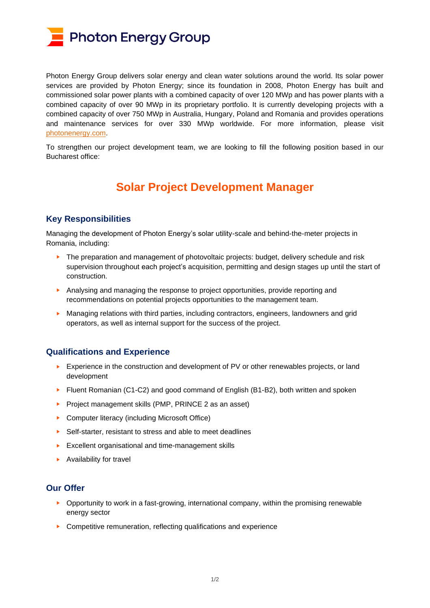

Photon Energy Group delivers solar energy and clean water solutions around the world. Its solar power services are provided by Photon Energy; since its foundation in 2008, Photon Energy has built and commissioned solar power plants with a combined capacity of over 120 MWp and has power plants with a combined capacity of over 90 MWp in its proprietary portfolio. It is currently developing projects with a combined capacity of over 750 MWp in Australia, Hungary, Poland and Romania and provides operations and maintenance services for over 330 MWp worldwide. For more information, please visit [photonenergy.com.](file:///C:/Users/liam.axe/AppData/Local/Microsoft/Windows/INetCache/Content.Outlook/BR27BCNS/photonenergy.com)

To strengthen our project development team, we are looking to fill the following position based in our Bucharest office:

## **Solar Project Development Manager**

## **Key Responsibilities**

Managing the development of Photon Energy's solar utility-scale and behind-the-meter projects in Romania, including:

- The preparation and management of photovoltaic projects: budget, delivery schedule and risk supervision throughout each project's acquisition, permitting and design stages up until the start of construction.
- ► Analysing and managing the response to project opportunities, provide reporting and recommendations on potential projects opportunities to the management team.
- Managing relations with third parties, including contractors, engineers, landowners and grid operators, as well as internal support for the success of the project.

## **Qualifications and Experience**

- ► Experience in the construction and development of PV or other renewables projects, or land development
- ► Fluent Romanian (C1-C2) and good command of English (B1-B2), both written and spoken
- ► Project management skills (PMP, PRINCE 2 as an asset)
- ► Computer literacy (including Microsoft Office)
- ► Self-starter, resistant to stress and able to meet deadlines
- ► Excellent organisational and time-management skills
- ► Availability for travel

## **Our Offer**

- ► Opportunity to work in a fast-growing, international company, within the promising renewable energy sector
- ► Competitive remuneration, reflecting qualifications and experience